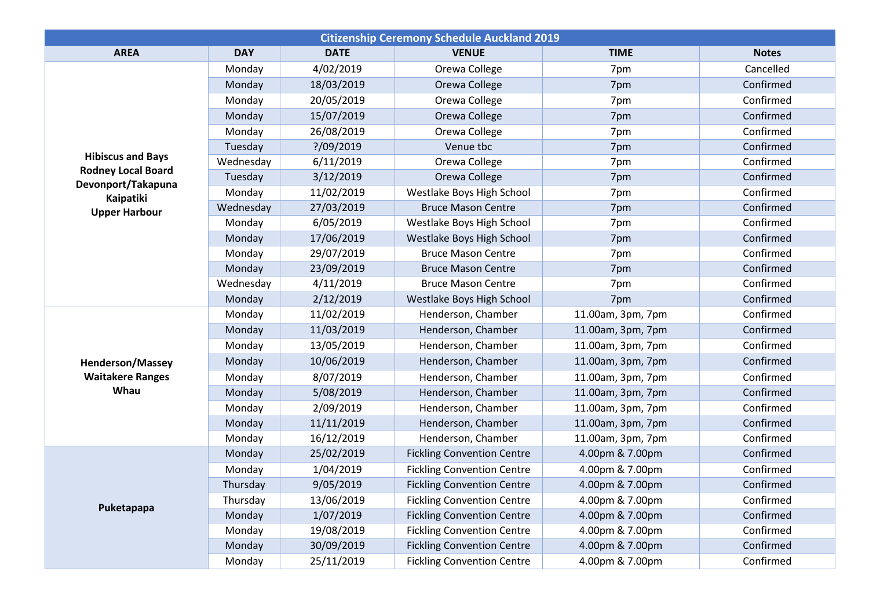| <b>Citizenship Ceremony Schedule Auckland 2019</b>                                                               |            |             |                                   |                   |              |  |  |  |
|------------------------------------------------------------------------------------------------------------------|------------|-------------|-----------------------------------|-------------------|--------------|--|--|--|
| <b>AREA</b>                                                                                                      | <b>DAY</b> | <b>DATE</b> | <b>VENUE</b>                      | <b>TIME</b>       | <b>Notes</b> |  |  |  |
| <b>Hibiscus and Bays</b><br><b>Rodney Local Board</b><br>Devonport/Takapuna<br>Kaipatiki<br><b>Upper Harbour</b> | Monday     | 4/02/2019   | Orewa College                     | 7pm               | Cancelled    |  |  |  |
|                                                                                                                  | Monday     | 18/03/2019  | Orewa College                     | 7pm               | Confirmed    |  |  |  |
|                                                                                                                  | Monday     | 20/05/2019  | Orewa College                     | 7pm               | Confirmed    |  |  |  |
|                                                                                                                  | Monday     | 15/07/2019  | Orewa College                     | 7pm               | Confirmed    |  |  |  |
|                                                                                                                  | Monday     | 26/08/2019  | Orewa College                     | 7pm               | Confirmed    |  |  |  |
|                                                                                                                  | Tuesday    | ?/09/2019   | Venue tbc                         | 7pm               | Confirmed    |  |  |  |
|                                                                                                                  | Wednesday  | 6/11/2019   | Orewa College                     | 7pm               | Confirmed    |  |  |  |
|                                                                                                                  | Tuesday    | 3/12/2019   | Orewa College                     | 7pm               | Confirmed    |  |  |  |
|                                                                                                                  | Monday     | 11/02/2019  | Westlake Boys High School         | 7pm               | Confirmed    |  |  |  |
|                                                                                                                  | Wednesday  | 27/03/2019  | <b>Bruce Mason Centre</b>         | 7pm               | Confirmed    |  |  |  |
|                                                                                                                  | Monday     | 6/05/2019   | Westlake Boys High School         | 7pm               | Confirmed    |  |  |  |
|                                                                                                                  | Monday     | 17/06/2019  | Westlake Boys High School         | 7pm               | Confirmed    |  |  |  |
|                                                                                                                  | Monday     | 29/07/2019  | <b>Bruce Mason Centre</b>         | 7pm               | Confirmed    |  |  |  |
|                                                                                                                  | Monday     | 23/09/2019  | <b>Bruce Mason Centre</b>         | 7pm               | Confirmed    |  |  |  |
|                                                                                                                  | Wednesday  | 4/11/2019   | <b>Bruce Mason Centre</b>         | 7pm               | Confirmed    |  |  |  |
|                                                                                                                  | Monday     | 2/12/2019   | Westlake Boys High School         | 7pm               | Confirmed    |  |  |  |
| <b>Henderson/Massey</b><br><b>Waitakere Ranges</b><br>Whau                                                       | Monday     | 11/02/2019  | Henderson, Chamber                | 11.00am, 3pm, 7pm | Confirmed    |  |  |  |
|                                                                                                                  | Monday     | 11/03/2019  | Henderson, Chamber                | 11.00am, 3pm, 7pm | Confirmed    |  |  |  |
|                                                                                                                  | Monday     | 13/05/2019  | Henderson, Chamber                | 11.00am, 3pm, 7pm | Confirmed    |  |  |  |
|                                                                                                                  | Monday     | 10/06/2019  | Henderson, Chamber                | 11.00am, 3pm, 7pm | Confirmed    |  |  |  |
|                                                                                                                  | Monday     | 8/07/2019   | Henderson, Chamber                | 11.00am, 3pm, 7pm | Confirmed    |  |  |  |
|                                                                                                                  | Monday     | 5/08/2019   | Henderson, Chamber                | 11.00am, 3pm, 7pm | Confirmed    |  |  |  |
|                                                                                                                  | Monday     | 2/09/2019   | Henderson, Chamber                | 11.00am, 3pm, 7pm | Confirmed    |  |  |  |
|                                                                                                                  | Monday     | 11/11/2019  | Henderson, Chamber                | 11.00am, 3pm, 7pm | Confirmed    |  |  |  |
|                                                                                                                  | Monday     | 16/12/2019  | Henderson, Chamber                | 11.00am, 3pm, 7pm | Confirmed    |  |  |  |
| Puketapapa                                                                                                       | Monday     | 25/02/2019  | <b>Fickling Convention Centre</b> | 4.00pm & 7.00pm   | Confirmed    |  |  |  |
|                                                                                                                  | Monday     | 1/04/2019   | <b>Fickling Convention Centre</b> | 4.00pm & 7.00pm   | Confirmed    |  |  |  |
|                                                                                                                  | Thursday   | 9/05/2019   | <b>Fickling Convention Centre</b> | 4.00pm & 7.00pm   | Confirmed    |  |  |  |
|                                                                                                                  | Thursday   | 13/06/2019  | <b>Fickling Convention Centre</b> | 4.00pm & 7.00pm   | Confirmed    |  |  |  |
|                                                                                                                  | Monday     | 1/07/2019   | <b>Fickling Convention Centre</b> | 4.00pm & 7.00pm   | Confirmed    |  |  |  |
|                                                                                                                  | Monday     | 19/08/2019  | <b>Fickling Convention Centre</b> | 4.00pm & 7.00pm   | Confirmed    |  |  |  |
|                                                                                                                  | Monday     | 30/09/2019  | <b>Fickling Convention Centre</b> | 4.00pm & 7.00pm   | Confirmed    |  |  |  |
|                                                                                                                  | Monday     | 25/11/2019  | <b>Fickling Convention Centre</b> | 4.00pm & 7.00pm   | Confirmed    |  |  |  |